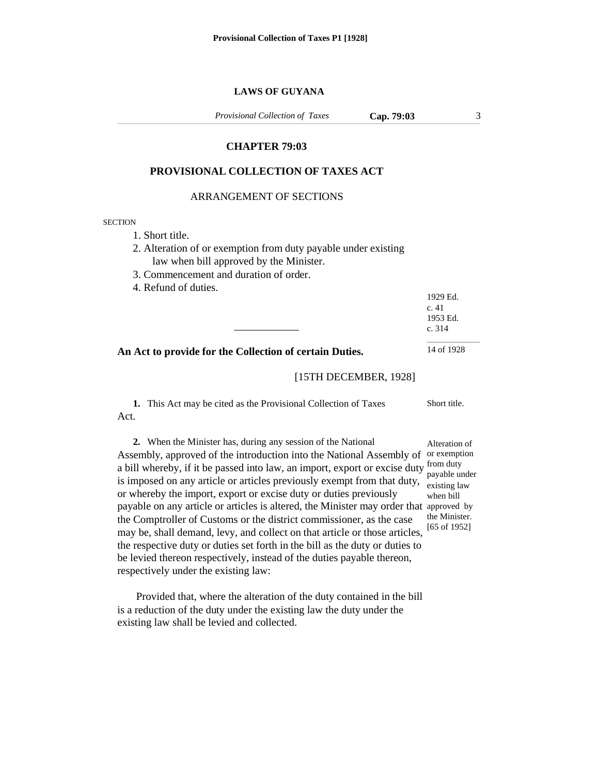### **LAWS OF GUYANA**

*Provisional Collection of Taxes*

**Cap. 79:03** 3

# **CHAPTER 79:03**

### **PROVISIONAL COLLECTION OF TAXES ACT**

### ARRANGEMENT OF SECTIONS

#### **SECTION**

- 1. Short title.
- 2. Alteration of or exemption from duty payable under existing law when bill approved by the Minister.

\_\_\_\_\_\_\_\_\_\_\_\_

- 3. Commencement and duration of order.
- 4. Refund of duties.

1929 Ed. c. 41 1953 Ed. c. 314  $\mathcal{L}=\mathcal{L}^{\mathcal{L}}$  , where  $\mathcal{L}^{\mathcal{L}}$  , we have the set of the set of the set of the set of the set of the set of the set of the set of the set of the set of the set of the set of the set of the set of the set of

**An Act to provide for the Collection of certain Duties.**

14 of 1928

## [15TH DECEMBER, 1928]

**1.** This Act may be cited as the Provisional Collection of Taxes Act. Short title.

**2.** When the Minister has, during any session of the National Assembly, approved of the introduction into the National Assembly of or exemption a bill whereby, if it be passed into law, an import, export or excise duty from duty is imposed on any article or articles previously exempt from that duty, or whereby the import, export or excise duty or duties previously payable on any article or articles is altered, the Minister may order that approved by the Comptroller of Customs or the district commissioner, as the case may be, shall demand, levy, and collect on that article or those articles, the respective duty or duties set forth in the bill as the duty or duties to be levied thereon respectively, instead of the duties payable thereon, respectively under the existing law:

Provided that, where the alteration of the duty contained in the bill is a reduction of the duty under the existing law the duty under the existing law shall be levied and collected.

Alteration of payable under existing law when bill the Minister. [65 of 1952]